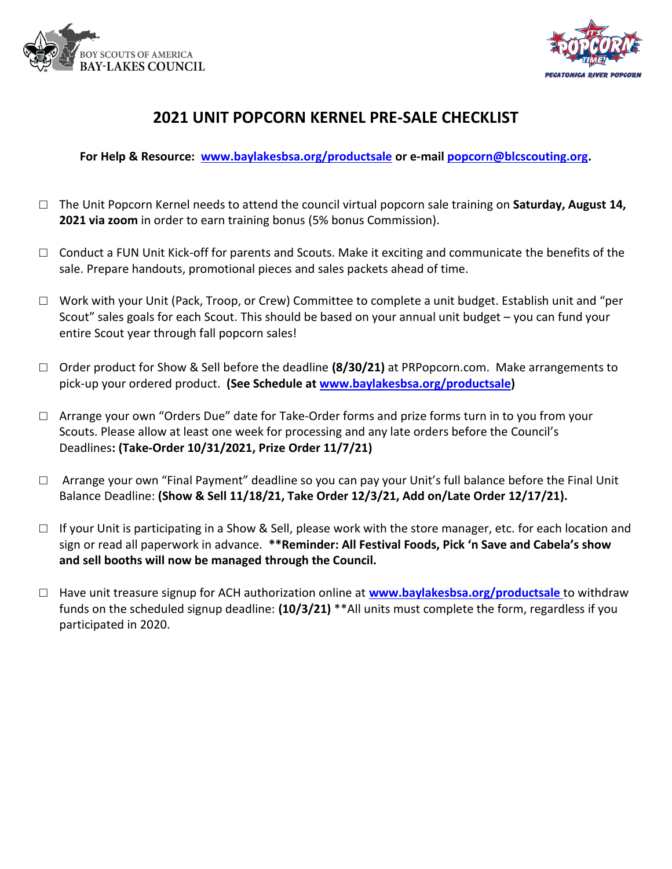



### **2021 UNIT POPCORN KERNEL PRE-SALE CHECKLIST**

**For Help & Resource: [www.baylakesbsa.org/productsale](http://www.baylakesbsa.org/productsale) or e-mai[l popcorn@blcscouting.org.](mailto:popcorn@blcscouting.org)**

- □ The Unit Popcorn Kernel needs to attend the council virtual popcorn sale training on **Saturday, August 14, 2021 via zoom** in order to earn training bonus (5% bonus Commission).
- □ Conduct a FUN Unit Kick-off for parents and Scouts. Make it exciting and communicate the benefits of the sale. Prepare handouts, promotional pieces and sales packets ahead of time.
- □ Work with your Unit (Pack, Troop, or Crew) Committee to complete a unit budget. Establish unit and "per Scout" sales goals for each Scout. This should be based on your annual unit budget – you can fund your entire Scout year through fall popcorn sales!
- □ Order product for Show & Sell before the deadline **(8/30/21)** at PRPopcorn.com. Make arrangements to pick-up your ordered product. **(See Schedule at [www.baylakesbsa.org/productsale\)](http://www.baylakesbsa.org/productsale)**
- □ Arrange your own "Orders Due" date for Take-Order forms and prize forms turn in to you from your Scouts. Please allow at least one week for processing and any late orders before the Council's Deadlines**: (Take-Order 10/31/2021, Prize Order 11/7/21)**
- $\Box$  Arrange your own "Final Payment" deadline so you can pay your Unit's full balance before the Final Unit Balance Deadline: **(Show & Sell 11/18/21, Take Order 12/3/21, Add on/Late Order 12/17/21).**
- $\Box$  If your Unit is participating in a Show & Sell, please work with the store manager, etc. for each location and sign or read all paperwork in advance. **\*\*Reminder: All Festival Foods, Pick 'n Save and Cabela's show and sell booths will now be managed through the Council.**
- □ Have unit treasure signup for ACH authorization online at **[www.baylakesbsa.org/productsale](http://www.baylakesbsa.org/productsale)** to withdraw funds on the scheduled signup deadline: **(10/3/21)** \*\*All units must complete the form, regardless if you participated in 2020.